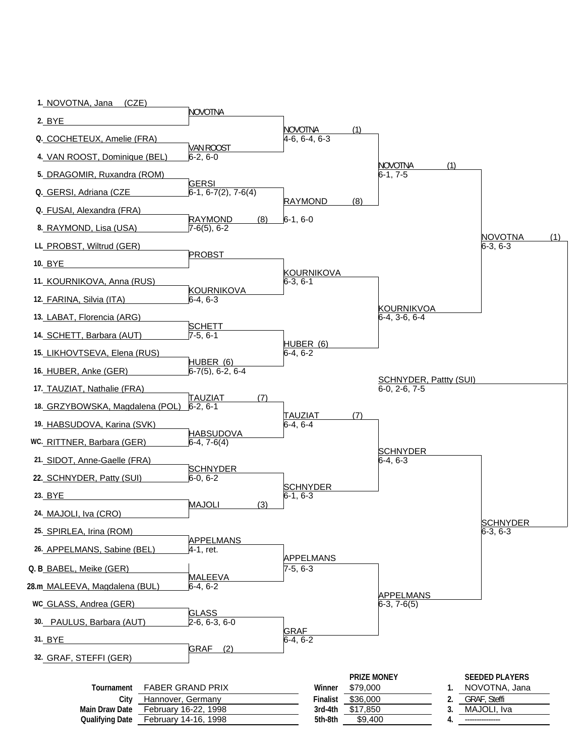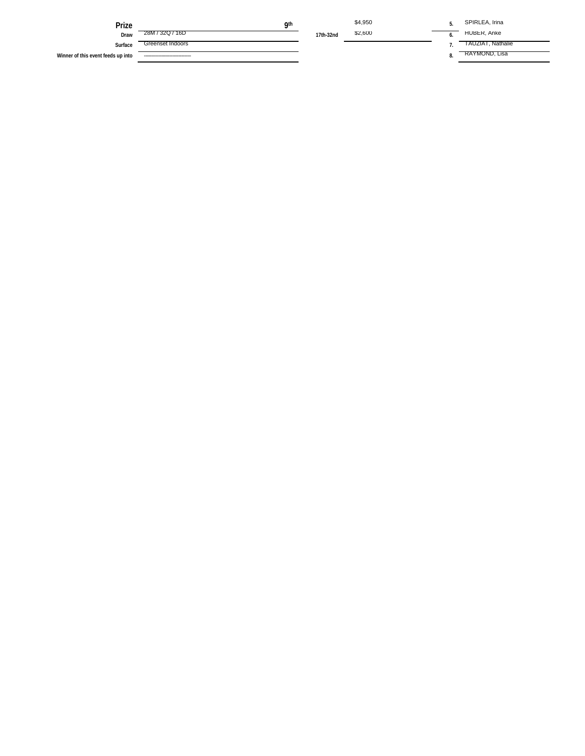| Prize                              | <b>Qth</b>                      |           | \$4,950 | SPIRLEA, Irina    |
|------------------------------------|---------------------------------|-----------|---------|-------------------|
| Draw                               | 28M / 32Q / 16D                 | 17th-32nd | \$2,600 | HUBER, Anke       |
| Surface                            | Greenset Indoors                |           |         | TAUZIAT, Nathalie |
| Winner of this event feeds up into | ------------------------------- |           |         | RAYMOND, Lisa     |
|                                    |                                 |           |         |                   |